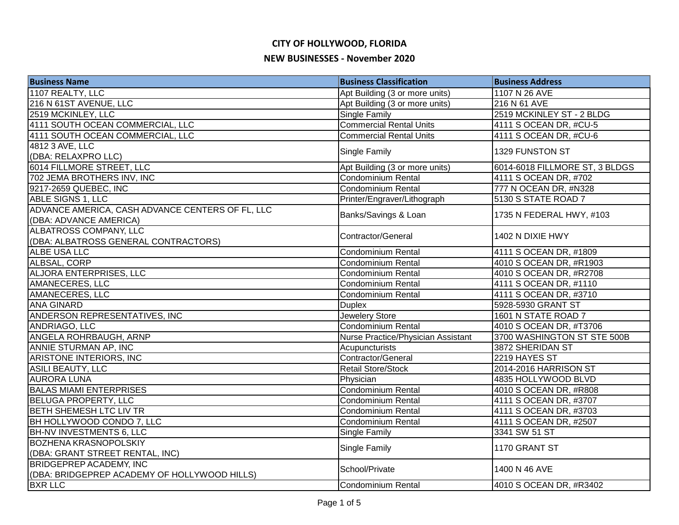| <b>Business Name</b>                             | <b>Business Classification</b>     | <b>Business Address</b>        |
|--------------------------------------------------|------------------------------------|--------------------------------|
| 1107 REALTY, LLC                                 | Apt Building (3 or more units)     | 1107 N 26 AVE                  |
| 216 N 61ST AVENUE, LLC                           | Apt Building (3 or more units)     | 216 N 61 AVE                   |
| 2519 MCKINLEY, LLC                               | Single Family                      | 2519 MCKINLEY ST - 2 BLDG      |
| 4111 SOUTH OCEAN COMMERCIAL, LLC                 | <b>Commercial Rental Units</b>     | 4111 S OCEAN DR, #CU-5         |
| 4111 SOUTH OCEAN COMMERCIAL, LLC                 | <b>Commercial Rental Units</b>     | 4111 S OCEAN DR, #CU-6         |
| 4812 3 AVE, LLC                                  | <b>Single Family</b>               | 1329 FUNSTON ST                |
| (DBA: RELAXPRO LLC)                              |                                    |                                |
| 6014 FILLMORE STREET, LLC                        | Apt Building (3 or more units)     | 6014-6018 FILLMORE ST, 3 BLDGS |
| 702 JEMA BROTHERS INV, INC                       | Condominium Rental                 | 4111 S OCEAN DR, #702          |
| 9217-2659 QUEBEC, INC                            | Condominium Rental                 | 777 N OCEAN DR, #N328          |
| <b>ABLE SIGNS 1, LLC</b>                         | Printer/Engraver/Lithograph        | 5130 S STATE ROAD 7            |
| ADVANCE AMERICA, CASH ADVANCE CENTERS OF FL, LLC | Banks/Savings & Loan               |                                |
| (DBA: ADVANCE AMERICA)                           |                                    | 1735 N FEDERAL HWY, #103       |
| ALBATROSS COMPANY, LLC                           | Contractor/General                 | 1402 N DIXIE HWY               |
| (DBA: ALBATROSS GENERAL CONTRACTORS)             |                                    |                                |
| ALBE USA LLC                                     | Condominium Rental                 | 4111 S OCEAN DR, #1809         |
| ALBSAL, CORP                                     | <b>Condominium Rental</b>          | 4010 S OCEAN DR, #R1903        |
| <b>ALJORA ENTERPRISES, LLC</b>                   | <b>Condominium Rental</b>          | 4010 S OCEAN DR, #R2708        |
| AMANECERES, LLC                                  | Condominium Rental                 | 4111 S OCEAN DR, #1110         |
| <b>AMANECERES, LLC</b>                           | Condominium Rental                 | 4111 S OCEAN DR, #3710         |
| <b>ANA GINARD</b>                                | <b>Duplex</b>                      | 5928-5930 GRANT ST             |
| ANDERSON REPRESENTATIVES, INC                    | Jewelery Store                     | 1601 N STATE ROAD 7            |
| ANDRIAGO, LLC                                    | Condominium Rental                 | 4010 S OCEAN DR, #T3706        |
| ANGELA ROHRBAUGH, ARNP                           | Nurse Practice/Physician Assistant | 3700 WASHINGTON ST STE 500B    |
| ANNIE STURMAN AP, INC                            | Acupuncturists                     | 3872 SHERIDAN ST               |
| ARISTONE INTERIORS, INC                          | Contractor/General                 | 2219 HAYES ST                  |
| <b>ASILI BEAUTY, LLC</b>                         | Retail Store/Stock                 | 2014-2016 HARRISON ST          |
| <b>AURORA LUNA</b>                               | Physician                          | 4835 HOLLYWOOD BLVD            |
| <b>BALAS MIAMI ENTERPRISES</b>                   | Condominium Rental                 | 4010 S OCEAN DR, #R808         |
| <b>BELUGA PROPERTY, LLC</b>                      | Condominium Rental                 | 4111 S OCEAN DR, #3707         |
| <b>BETH SHEMESH LTC LIV TR</b>                   | Condominium Rental                 | 4111 S OCEAN DR, #3703         |
| BH HOLLYWOOD CONDO 7, LLC                        | Condominium Rental                 | 4111 S OCEAN DR, #2507         |
| <b>BH-NV INVESTMENTS 6, LLC</b>                  | <b>Single Family</b>               | 3341 SW 51 ST                  |
| <b>BOZHENA KRASNOPOLSKIY</b>                     |                                    | 1170 GRANT ST                  |
| (DBA: GRANT STREET RENTAL, INC)                  | <b>Single Family</b>               |                                |
| <b>BRIDGEPREP ACADEMY, INC</b>                   |                                    |                                |
| (DBA: BRIDGEPREP ACADEMY OF HOLLYWOOD HILLS)     | School/Private                     | 1400 N 46 AVE                  |
| <b>BXR LLC</b>                                   | Condominium Rental                 | 4010 S OCEAN DR, #R3402        |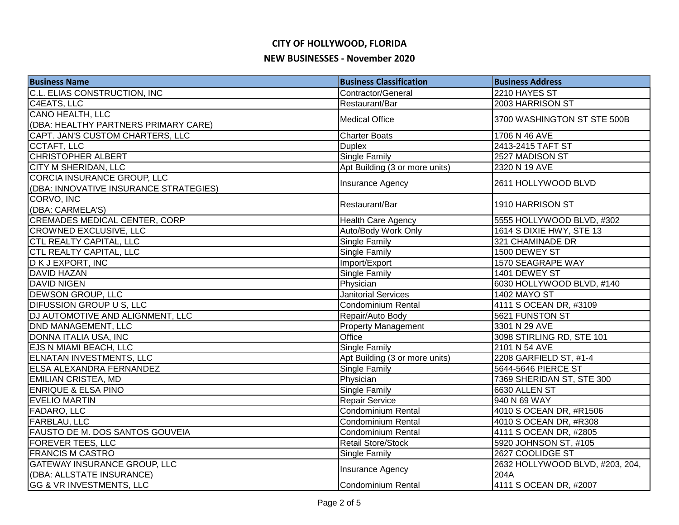| <b>Business Name</b>                   | <b>Business Classification</b> | <b>Business Address</b>         |
|----------------------------------------|--------------------------------|---------------------------------|
| C.L. ELIAS CONSTRUCTION, INC           | Contractor/General             | 2210 HAYES ST                   |
| C4EATS, LLC                            | Restaurant/Bar                 | 2003 HARRISON ST                |
| <b>CANO HEALTH, LLC</b>                | <b>Medical Office</b>          | 3700 WASHINGTON ST STE 500B     |
| (DBA: HEALTHY PARTNERS PRIMARY CARE)   |                                |                                 |
| CAPT. JAN'S CUSTOM CHARTERS, LLC       | Charter Boats                  | 1706 N 46 AVE                   |
| <b>CCTAFT, LLC</b>                     | <b>Duplex</b>                  | 2413-2415 TAFT ST               |
| <b>CHRISTOPHER ALBERT</b>              | <b>Single Family</b>           | 2527 MADISON ST                 |
| <b>CITY M SHERIDAN, LLC</b>            | Apt Building (3 or more units) | 2320 N 19 AVE                   |
| <b>CORCIA INSURANCE GROUP, LLC</b>     |                                | 2611 HOLLYWOOD BLVD             |
| (DBA: INNOVATIVE INSURANCE STRATEGIES) | Insurance Agency               |                                 |
| CORVO, INC                             | Restaurant/Bar                 | 1910 HARRISON ST                |
| (DBA: CARMELA'S)                       |                                |                                 |
| <b>CREMADES MEDICAL CENTER, CORP</b>   | <b>Health Care Agency</b>      | 5555 HOLLYWOOD BLVD, #302       |
| <b>CROWNED EXCLUSIVE, LLC</b>          | Auto/Body Work Only            | 1614 S DIXIE HWY, STE 13        |
| CTL REALTY CAPITAL, LLC                | Single Family                  | 321 CHAMINADE DR                |
| <b>CTL REALTY CAPITAL, LLC</b>         | <b>Single Family</b>           | 1500 DEWEY ST                   |
| D K J EXPORT, INC                      | Import/Export                  | 1570 SEAGRAPE WAY               |
| <b>DAVID HAZAN</b>                     | <b>Single Family</b>           | 1401 DEWEY ST                   |
| <b>DAVID NIGEN</b>                     | Physician                      | 6030 HOLLYWOOD BLVD, #140       |
| <b>DEWSON GROUP, LLC</b>               | <b>Janitorial Services</b>     | <b>1402 MAYO ST</b>             |
| <b>DIFUSSION GROUP U S, LLC</b>        | Condominium Rental             | 4111 S OCEAN DR, #3109          |
| DJ AUTOMOTIVE AND ALIGNMENT, LLC       | Repair/Auto Body               | 5621 FUNSTON ST                 |
| <b>DND MANAGEMENT, LLC</b>             | <b>Property Management</b>     | 3301 N 29 AVE                   |
| DONNA ITALIA USA, INC                  | <b>Office</b>                  | 3098 STIRLING RD, STE 101       |
| EJS N MIAMI BEACH, LLC                 | Single Family                  | 2101 N 54 AVE                   |
| <b>ELNATAN INVESTMENTS, LLC</b>        | Apt Building (3 or more units) | 2208 GARFIELD ST, #1-4          |
| ELSA ALEXANDRA FERNANDEZ               | <b>Single Family</b>           | 5644-5646 PIERCE ST             |
| <b>EMILIAN CRISTEA, MD</b>             | Physician                      | 7369 SHERIDAN ST, STE 300       |
| <b>ENRIQUE &amp; ELSA PINO</b>         | <b>Single Family</b>           | 6630 ALLEN ST                   |
| <b>EVELIO MARTIN</b>                   | Repair Service                 | 940 N 69 WAY                    |
| <b>FADARO, LLC</b>                     | <b>Condominium Rental</b>      | 4010 S OCEAN DR, #R1506         |
| <b>FARBLAU, LLC</b>                    | Condominium Rental             | 4010 S OCEAN DR, #R308          |
| <b>FAUSTO DE M. DOS SANTOS GOUVEIA</b> | <b>Condominium Rental</b>      | 4111 S OCEAN DR, #2805          |
| <b>FOREVER TEES, LLC</b>               | <b>Retail Store/Stock</b>      | 5920 JOHNSON ST, #105           |
| <b>FRANCIS M CASTRO</b>                | Single Family                  | 2627 COOLIDGE ST                |
| <b>GATEWAY INSURANCE GROUP, LLC</b>    |                                | 2632 HOLLYWOOD BLVD, #203, 204, |
| (DBA: ALLSTATE INSURANCE)              | Insurance Agency               | 204A                            |
| <b>GG &amp; VR INVESTMENTS, LLC</b>    | Condominium Rental             | 4111 S OCEAN DR, #2007          |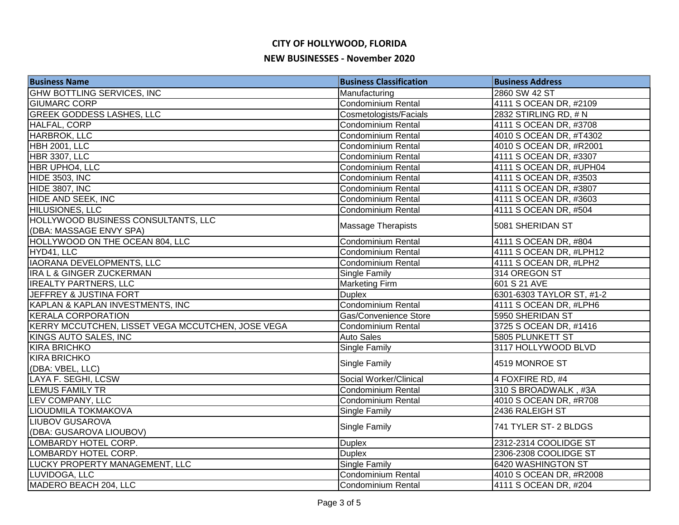| <b>Business Name</b>                              | <b>Business Classification</b> | <b>Business Address</b>   |
|---------------------------------------------------|--------------------------------|---------------------------|
| <b>GHW BOTTLING SERVICES, INC</b>                 | Manufacturing                  | 2860 SW 42 ST             |
| <b>GIUMARC CORP</b>                               | <b>Condominium Rental</b>      | 4111 S OCEAN DR, #2109    |
| <b>GREEK GODDESS LASHES, LLC</b>                  | Cosmetologists/Facials         | 2832 STIRLING RD, # N     |
| HALFAL, CORP                                      | <b>Condominium Rental</b>      | 4111 S OCEAN DR, #3708    |
| <b>HARBROK, LLC</b>                               | Condominium Rental             | 4010 S OCEAN DR, #T4302   |
| HBH 2001, LLC                                     | Condominium Rental             | 4010 S OCEAN DR, #R2001   |
| <b>HBR 3307, LLC</b>                              | <b>Condominium Rental</b>      | 4111 S OCEAN DR, #3307    |
| HBR UPHO4, LLC                                    | <b>Condominium Rental</b>      | 4111 S OCEAN DR, #UPH04   |
| <b>HIDE 3503, INC</b>                             | Condominium Rental             | 4111 S OCEAN DR, #3503    |
| HIDE 3807, INC                                    | <b>Condominium Rental</b>      | 4111 S OCEAN DR, #3807    |
| HIDE AND SEEK, INC                                | <b>Condominium Rental</b>      | 4111 S OCEAN DR, #3603    |
| HILUSIONES, LLC                                   | <b>Condominium Rental</b>      | 4111 S OCEAN DR, #504     |
| HOLLYWOOD BUSINESS CONSULTANTS, LLC               | <b>Massage Therapists</b>      | 5081 SHERIDAN ST          |
| (DBA: MASSAGE ENVY SPA)                           |                                |                           |
| HOLLYWOOD ON THE OCEAN 804, LLC                   | <b>Condominium Rental</b>      | 4111 S OCEAN DR, #804     |
| HYD41, LLC                                        | Condominium Rental             | 4111 S OCEAN DR, #LPH12   |
| <b>IAORANA DEVELOPMENTS, LLC</b>                  | <b>Condominium Rental</b>      | 4111 S OCEAN DR, #LPH2    |
| IRA L & GINGER ZUCKERMAN                          | Single Family                  | 314 OREGON ST             |
| <b>IREALTY PARTNERS, LLC</b>                      | Marketing Firm                 | 601 S 21 AVE              |
| JEFFREY & JUSTINA FORT                            | <b>Duplex</b>                  | 6301-6303 TAYLOR ST, #1-2 |
| KAPLAN & KAPLAN INVESTMENTS, INC                  | Condominium Rental             | 4111 S OCEAN DR, #LPH6    |
| <b>KERALA CORPORATION</b>                         | Gas/Convenience Store          | 5950 SHERIDAN ST          |
| KERRY MCCUTCHEN, LISSET VEGA MCCUTCHEN, JOSE VEGA | <b>Condominium Rental</b>      | 3725 S OCEAN DR, #1416    |
| KINGS AUTO SALES, INC                             | <b>Auto Sales</b>              | 5805 PLUNKETT ST          |
| <b>KIRA BRICHKO</b>                               | Single Family                  | 3117 HOLLYWOOD BLVD       |
| <b>KIRA BRICHKO</b>                               | Single Family                  | 4519 MONROE ST            |
| (DBA: VBEL, LLC)                                  |                                |                           |
| LAYA F. SEGHI, LCSW                               | Social Worker/Clinical         | 4 FOXFIRE RD, #4          |
| <b>LEMUS FAMILY TR</b>                            | Condominium Rental             | 310 S BROADWALK, #3A      |
| LEV COMPANY, LLC                                  | <b>Condominium Rental</b>      | 4010 S OCEAN DR, #R708    |
| LIOUDMILA TOKMAKOVA                               | Single Family                  | 2436 RALEIGH ST           |
| <b>LIUBOV GUSAROVA</b>                            | Single Family                  | 741 TYLER ST- 2 BLDGS     |
| (DBA: GUSAROVA LIOUBOV)                           |                                |                           |
| LOMBARDY HOTEL CORP.                              | <b>Duplex</b>                  | 2312-2314 COOLIDGE ST     |
| LOMBARDY HOTEL CORP.                              | <b>Duplex</b>                  | 2306-2308 COOLIDGE ST     |
| LUCKY PROPERTY MANAGEMENT, LLC                    | Single Family                  | 6420 WASHINGTON ST        |
| LUVIDOGA, LLC                                     | Condominium Rental             | 4010 S OCEAN DR, #R2008   |
| MADERO BEACH 204, LLC                             | Condominium Rental             | 4111 S OCEAN DR, #204     |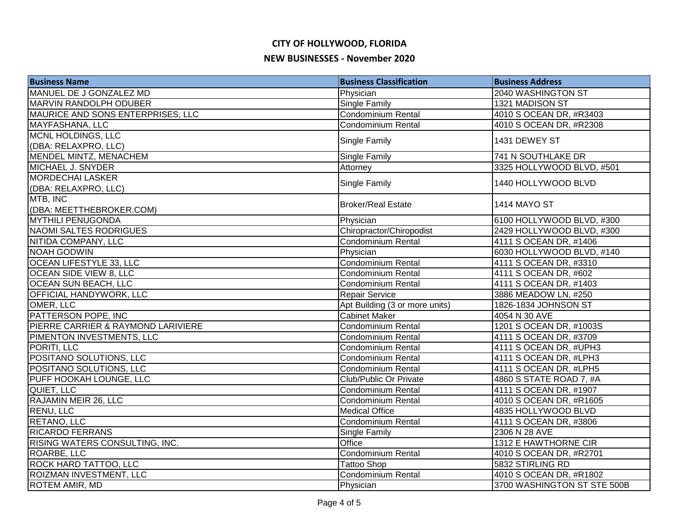| <b>Business Name</b>               | <b>Business Classification</b> | <b>Business Address</b>     |
|------------------------------------|--------------------------------|-----------------------------|
| MANUEL DE J GONZALEZ MD            | Physician                      | 2040 WASHINGTON ST          |
| MARVIN RANDOLPH ODUBER             | <b>Single Family</b>           | 1321 MADISON ST             |
| MAURICE AND SONS ENTERPRISES, LLC  | <b>Condominium Rental</b>      | 4010 S OCEAN DR, #R3403     |
| <b>MAYFASHANA, LLC</b>             | <b>Condominium Rental</b>      | 4010 S OCEAN DR, #R2308     |
| MCNL HOLDINGS, LLC                 |                                | 1431 DEWEY ST               |
| (DBA: RELAXPRO, LLC)               | Single Family                  |                             |
| MENDEL MINTZ, MENACHEM             | Single Family                  | 741 N SOUTHLAKE DR          |
| <b>MICHAEL J. SNYDER</b>           | Attorney                       | 3325 HOLLYWOOD BLVD, #501   |
| <b>MORDECHAI LASKER</b>            | Single Family                  | 1440 HOLLYWOOD BLVD         |
| (DBA: RELAXPRO, LLC)               |                                |                             |
| MTB, INC                           | <b>Broker/Real Estate</b>      | <b>1414 MAYO ST</b>         |
| (DBA: MEETTHEBROKER.COM)           |                                |                             |
| <b>MYTHILI PENUGONDA</b>           | Physician                      | 6100 HOLLYWOOD BLVD, #300   |
| <b>NAOMI SALTES RODRIGUES</b>      | Chiropractor/Chiropodist       | 2429 HOLLYWOOD BLVD, #300   |
| NITIDA COMPANY, LLC                | <b>Condominium Rental</b>      | 4111 S OCEAN DR, #1406      |
| <b>NOAH GODWIN</b>                 | Physician                      | 6030 HOLLYWOOD BLVD, #140   |
| OCEAN LIFESTYLE 33, LLC            | Condominium Rental             | 4111 S OCEAN DR, #3310      |
| <b>OCEAN SIDE VIEW 8, LLC</b>      | Condominium Rental             | 4111 S OCEAN DR, #602       |
| <b>OCEAN SUN BEACH, LLC</b>        | Condominium Rental             | 4111 S OCEAN DR, #1403      |
| OFFICIAL HANDYWORK, LLC            | Repair Service                 | 3886 MEADOW LN, #250        |
| OMER, LLC                          | Apt Building (3 or more units) | 1826-1834 JOHNSON ST        |
| PATTERSON POPE, INC                | <b>Cabinet Maker</b>           | 4054 N 30 AVE               |
| PIERRE CARRIER & RAYMOND LARIVIERE | Condominium Rental             | 1201 S OCEAN DR, #1003S     |
| PIMENTON INVESTMENTS, LLC          | Condominium Rental             | 4111 S OCEAN DR, #3709      |
| PORITI, LLC                        | <b>Condominium Rental</b>      | 4111 S OCEAN DR, #UPH3      |
| POSITANO SOLUTIONS, LLC            | Condominium Rental             | 4111 S OCEAN DR, #LPH3      |
| POSITANO SOLUTIONS, LLC            | <b>Condominium Rental</b>      | 4111 S OCEAN DR, #LPH5      |
| PUFF HOOKAH LOUNGE, LLC            | Club/Public Or Private         | 4860 S STATE ROAD 7, #A     |
| QUIET, LLC                         | Condominium Rental             | 4111 S OCEAN DR, #1907      |
| RAJAMIN MEIR 26, LLC               | <b>Condominium Rental</b>      | 4010 S OCEAN DR, #R1605     |
| <b>RENU, LLC</b>                   | <b>Medical Office</b>          | 4835 HOLLYWOOD BLVD         |
| RETANO, LLC                        | <b>Condominium Rental</b>      | 4111 S OCEAN DR, #3806      |
| <b>RICARDO FERRANS</b>             | Single Family                  | 2306 N 28 AVE               |
| RISING WATERS CONSULTING, INC.     | Office                         | 1312 E HAWTHORNE CIR        |
| ROARBE, LLC                        | Condominium Rental             | 4010 S OCEAN DR, #R2701     |
| ROCK HARD TATTOO, LLC              | <b>Tattoo Shop</b>             | 5832 STIRLING RD            |
| ROIZMAN INVESTMENT, LLC            | <b>Condominium Rental</b>      | 4010 S OCEAN DR, #R1802     |
| <b>ROTEM AMIR, MD</b>              | Physician                      | 3700 WASHINGTON ST STE 500B |